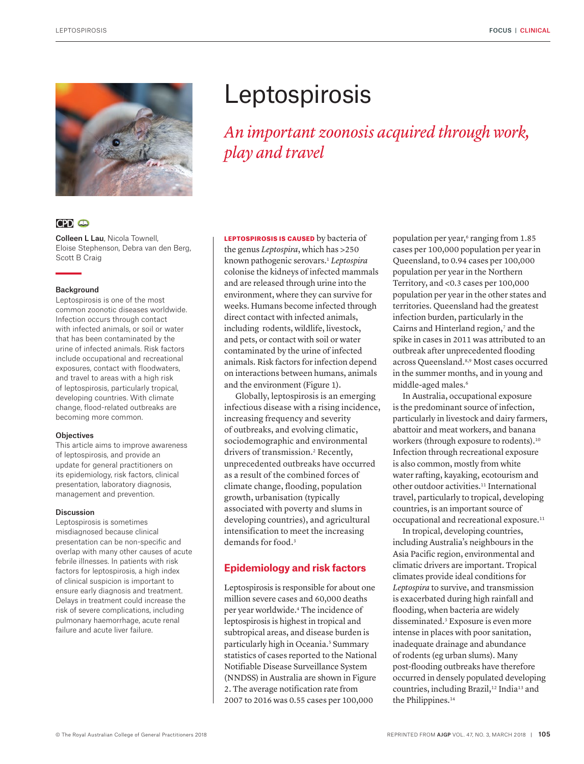

# **CPD @**

Colleen L Lau, Nicola Townell, Eloise Stephenson, Debra van den Berg, Scott B Craig

#### Background

Leptospirosis is one of the most common zoonotic diseases worldwide. Infection occurs through contact with infected animals, or soil or water that has been contaminated by the urine of infected animals. Risk factors include occupational and recreational exposures, contact with floodwaters, and travel to areas with a high risk of leptospirosis, particularly tropical, developing countries. With climate change, flood-related outbreaks are becoming more common.

#### **Objectives**

This article aims to improve awareness of leptospirosis, and provide an update for general practitioners on its epidemiology, risk factors, clinical presentation, laboratory diagnosis, management and prevention.

#### Discussion

Leptospirosis is sometimes misdiagnosed because clinical presentation can be non-specific and overlap with many other causes of acute febrile illnesses. In patients with risk factors for leptospirosis, a high index of clinical suspicion is important to ensure early diagnosis and treatment. Delays in treatment could increase the risk of severe complications, including pulmonary haemorrhage, acute renal failure and acute liver failure.

# **Leptospirosis**

*An important zoonosis acquired through work, play and travel* 

LEPTOSPIROSIS IS CAUSED by bacteria of the genus *Leptospira*, which has >250 known pathogenic serovars.1 *Leptospira* colonise the kidneys of infected mammals and are released through urine into the environment, where they can survive for weeks. Humans become infected through direct contact with infected animals, including rodents, wildlife, livestock, and pets, or contact with soil or water contaminated by the urine of infected animals. Risk factors for infection depend on interactions between humans, animals and the environment (Figure 1).

Globally, leptospirosis is an emerging infectious disease with a rising incidence, increasing frequency and severity of outbreaks, and evolving climatic, sociodemographic and environmental drivers of transmission.<sup>2</sup> Recently, unprecedented outbreaks have occurred as a result of the combined forces of climate change, flooding, population growth, urbanisation (typically associated with poverty and slums in developing countries), and agricultural intensification to meet the increasing demands for food.3

## **Epidemiology and risk factors**

Leptospirosis is responsible for about one million severe cases and 60,000 deaths per year worldwide.4 The incidence of leptospirosis is highest in tropical and subtropical areas, and disease burden is particularly high in Oceania.<sup>5</sup> Summary statistics of cases reported to the National Notifiable Disease Surveillance System (NNDSS) in Australia are shown in Figure 2. The average notification rate from 2007 to 2016 was 0.55 cases per 100,000

population per year,<sup>6</sup> ranging from 1.85 cases per 100,000 population per year in Queensland, to 0.94 cases per 100,000 population per year in the Northern Territory, and <0.3 cases per 100,000 population per year in the other states and territories. Queensland had the greatest infection burden, particularly in the Cairns and Hinterland region,<sup>7</sup> and the spike in cases in 2011 was attributed to an outbreak after unprecedented flooding across Queensland.8,9 Most cases occurred in the summer months, and in young and middle-aged males.6

In Australia, occupational exposure is the predominant source of infection, particularly in livestock and dairy farmers, abattoir and meat workers, and banana workers (through exposure to rodents).10 Infection through recreational exposure is also common, mostly from white water rafting, kayaking, ecotourism and other outdoor activities.11 International travel, particularly to tropical, developing countries, is an important source of occupational and recreational exposure.11

In tropical, developing countries, including Australia's neighbours in the Asia Pacific region, environmental and climatic drivers are important. Tropical climates provide ideal conditions for *Leptospira* to survive, and transmission is exacerbated during high rainfall and flooding, when bacteria are widely disseminated.3 Exposure is even more intense in places with poor sanitation, inadequate drainage and abundance of rodents (eg urban slums). Many post-flooding outbreaks have therefore occurred in densely populated developing countries, including Brazil,<sup>12</sup> India<sup>13</sup> and the Philippines.<sup>14</sup>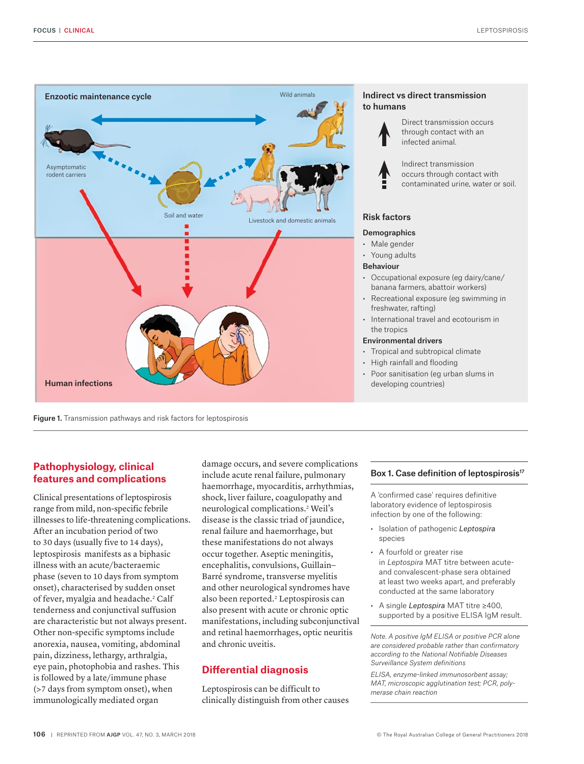



## **Pathophysiology, clinical features and complications**

Clinical presentations of leptospirosis range from mild, non-specific febrile illnesses to life-threatening complications. After an incubation period of two to 30 days (usually five to 14 days), leptospirosis manifests as a biphasic illness with an acute/bacteraemic phase (seven to 10 days from symptom onset), characterised by sudden onset of fever, myalgia and headache.<sup>2</sup> Calf tenderness and conjunctival suffusion are characteristic but not always present. Other non-specific symptoms include anorexia, nausea, vomiting, abdominal pain, dizziness, lethargy, arthralgia, eye pain, photophobia and rashes. This is followed by a late/immune phase (>7 days from symptom onset), when immunologically mediated organ

damage occurs, and severe complications include acute renal failure, pulmonary haemorrhage, myocarditis, arrhythmias, shock, liver failure, coagulopathy and neurological complications.2 Weil's disease is the classic triad of jaundice, renal failure and haemorrhage, but these manifestations do not always occur together. Aseptic meningitis, encephalitis, convulsions, Guillain– Barré syndrome, transverse myelitis and other neurological syndromes have also been reported.<sup>2</sup> Leptospirosis can also present with acute or chronic optic manifestations, including subconjunctival and retinal haemorrhages, optic neuritis and chronic uveitis.

## **Differential diagnosis**

Leptospirosis can be difficult to clinically distinguish from other causes

## Box 1. Case definition of leptospirosis<sup>17</sup>

A 'confirmed case' requires definitive laboratory evidence of leptospirosis infection by one of the following:

- Isolation of pathogenic *Leptospira* species
- A fourfold or greater rise in *Leptospira* MAT titre between acuteand convalescent-phase sera obtained at least two weeks apart, and preferably conducted at the same laboratory
- A single *Leptospira* MAT titre ≥400, supported by a positive ELISA IgM result.

*Note. A positive IgM ELISA or positive PCR alone are considered probable rather than confirmatory according to the National Notifiable Diseases Surveillance System definitions*

*ELISA, enzyme-linked immunosorbent assay; MAT, microscopic agglutination test; PCR, polymerase chain reaction*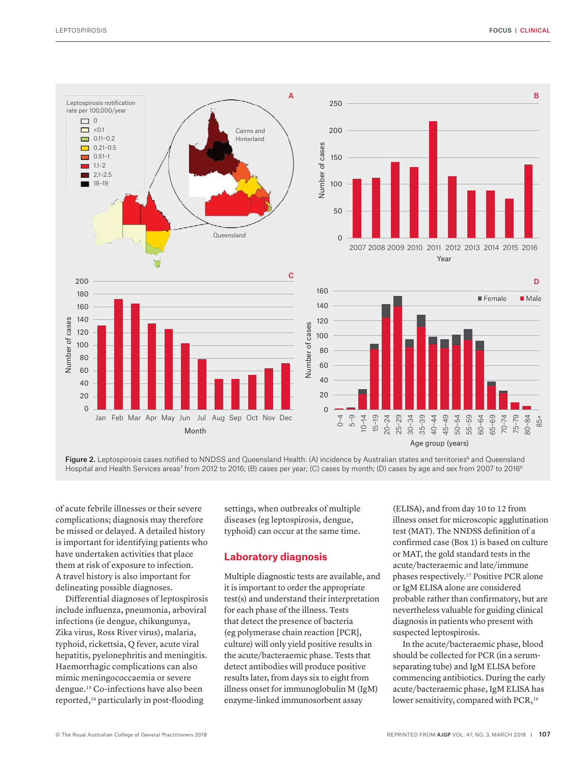



of acute febrile illnesses or their severe complications; diagnosis may therefore be missed or delayed. A detailed history is important for identifying patients who have undertaken activities that place them at risk of exposure to infection. A travel history is also important for delineating possible diagnoses.

Differential diagnoses of leptospirosis include influenza, pneumonia, arboviral infections (ie dengue, chikungunya, Zika virus, Ross River virus), malaria, typhoid, rickettsia, Q fever, acute viral hepatitis, pyelonephritis and meningitis. Haemorrhagic complications can also mimic meningococcaemia or severe dengue.15 Co-infections have also been reported,16 particularly in post-flooding

settings, when outbreaks of multiple diseases (eg leptospirosis, dengue, typhoid) can occur at the same time.

## **Laboratory diagnosis**

Multiple diagnostic tests are available, and it is important to order the appropriate test(s) and understand their interpretation for each phase of the illness. Tests that detect the presence of bacteria (eg polymerase chain reaction [PCR], culture) will only yield positive results in the acute/bacteraemic phase. Tests that detect antibodies will produce positive results later, from days six to eight from illness onset for immunoglobulin M (IgM) enzyme-linked immunosorbent assay

(ELISA), and from day 10 to 12 from illness onset for microscopic agglutination test (MAT). The NNDSS definition of a confirmed case (Box 1) is based on culture or MAT, the gold standard tests in the acute/bacteraemic and late/immune phases respectively.17 Positive PCR alone or IgM ELISA alone are considered probable rather than confirmatory, but are nevertheless valuable for guiding clinical diagnosis in patients who present with suspected leptospirosis.

In the acute/bacteraemic phase, blood should be collected for PCR (in a serumseparating tube) and IgM ELISA before commencing antibiotics. During the early acute/bacteraemic phase, IgM ELISA has lower sensitivity, compared with PCR,<sup>18</sup>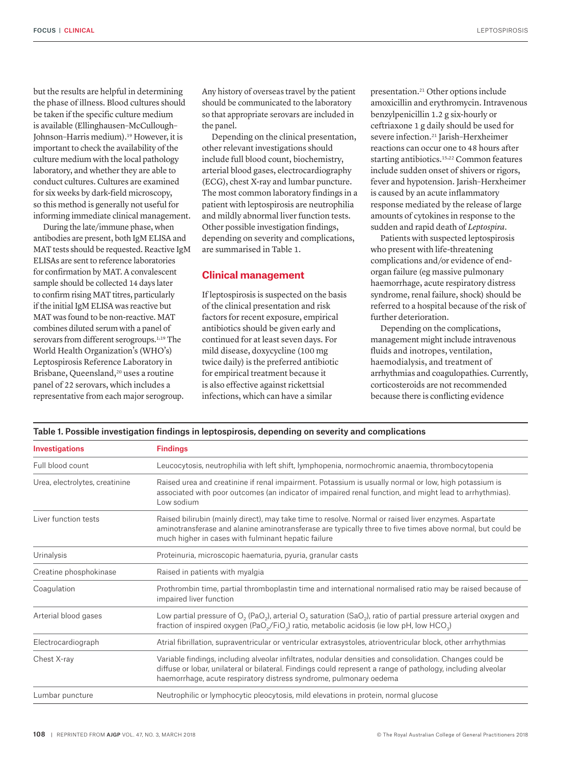but the results are helpful in determining the phase of illness. Blood cultures should be taken if the specific culture medium is available (Ellinghausen–McCullough– Johnson–Harris medium).19 However, it is important to check the availability of the culture medium with the local pathology laboratory, and whether they are able to conduct cultures. Cultures are examined for six weeks by dark-field microscopy, so this method is generally not useful for informing immediate clinical management.

During the late/immune phase, when antibodies are present, both IgM ELISA and MAT tests should be requested. Reactive IgM ELISAs are sent to reference laboratories for confirmation by MAT. A convalescent sample should be collected 14 days later to confirm rising MAT titres, particularly if the initial IgM ELISA was reactive but MAT was found to be non-reactive. MAT combines diluted serum with a panel of serovars from different serogroups.<sup>1,19</sup> The World Health Organization's (WHO's) Leptospirosis Reference Laboratory in Brisbane, Queensland,<sup>20</sup> uses a routine panel of 22 serovars, which includes a representative from each major serogroup.

Any history of overseas travel by the patient should be communicated to the laboratory so that appropriate serovars are included in the panel.

Depending on the clinical presentation, other relevant investigations should include full blood count, biochemistry, arterial blood gases, electrocardiography (ECG), chest X-ray and lumbar puncture. The most common laboratory findings in a patient with leptospirosis are neutrophilia and mildly abnormal liver function tests. Other possible investigation findings, depending on severity and complications, are summarised in Table 1.

## **Clinical management**

If leptospirosis is suspected on the basis of the clinical presentation and risk factors for recent exposure, empirical antibiotics should be given early and continued for at least seven days. For mild disease, doxycycline (100 mg twice daily) is the preferred antibiotic for empirical treatment because it is also effective against rickettsial infections, which can have a similar

presentation.21 Other options include amoxicillin and erythromycin. Intravenous benzylpenicillin 1.2 g six-hourly or ceftriaxone 1 g daily should be used for severe infection.21 Jarish–Herxheimer reactions can occur one to 48 hours after starting antibiotics.15,22 Common features include sudden onset of shivers or rigors, fever and hypotension. Jarish–Herxheimer is caused by an acute inflammatory response mediated by the release of large amounts of cytokines in response to the sudden and rapid death of *Leptospira*.

Patients with suspected leptospirosis who present with life-threatening complications and/or evidence of endorgan failure (eg massive pulmonary haemorrhage, acute respiratory distress syndrome, renal failure, shock) should be referred to a hospital because of the risk of further deterioration.

Depending on the complications, management might include intravenous fluids and inotropes, ventilation, haemodialysis, and treatment of arrhythmias and coagulopathies. Currently, corticosteroids are not recommended because there is conflicting evidence

| Investigations                 | <b>Findings</b>                                                                                                                                                                                                                                                                                |
|--------------------------------|------------------------------------------------------------------------------------------------------------------------------------------------------------------------------------------------------------------------------------------------------------------------------------------------|
| Full blood count               | Leucocytosis, neutrophilia with left shift, lymphopenia, normochromic anaemia, thrombocytopenia                                                                                                                                                                                                |
| Urea, electrolytes, creatinine | Raised urea and creatinine if renal impairment. Potassium is usually normal or low, high potassium is<br>associated with poor outcomes (an indicator of impaired renal function, and might lead to arrhythmias).<br>Low sodium                                                                 |
| Liver function tests           | Raised bilirubin (mainly direct), may take time to resolve. Normal or raised liver enzymes. Aspartate<br>aminotransferase and alanine aminotransferase are typically three to five times above normal, but could be<br>much higher in cases with fulminant hepatic failure                     |
| Urinalysis                     | Proteinuria, microscopic haematuria, pyuria, granular casts                                                                                                                                                                                                                                    |
| Creatine phosphokinase         | Raised in patients with myalgia                                                                                                                                                                                                                                                                |
| Coagulation                    | Prothrombin time, partial thromboplastin time and international normalised ratio may be raised because of<br>impaired liver function                                                                                                                                                           |
| Arterial blood gases           | Low partial pressure of $O_2$ (PaO <sub>2</sub> ), arterial O <sub>2</sub> saturation (SaO <sub>2</sub> ), ratio of partial pressure arterial oxygen and<br>fraction of inspired oxygen (PaO <sub>2</sub> /FiO <sub>2</sub> ) ratio, metabolic acidosis (ie low pH, low HCO <sub>3</sub> )     |
| Electrocardiograph             | Atrial fibrillation, supraventricular or ventricular extrasystoles, atrioventricular block, other arrhythmias                                                                                                                                                                                  |
| Chest X-ray                    | Variable findings, including alveolar infiltrates, nodular densities and consolidation. Changes could be<br>diffuse or lobar, unilateral or bilateral. Findings could represent a range of pathology, including alveolar<br>haemorrhage, acute respiratory distress syndrome, pulmonary oedema |
| Lumbar puncture                | Neutrophilic or lymphocytic pleocytosis, mild elevations in protein, normal glucose                                                                                                                                                                                                            |

#### Table 1. Possible investigation findings in leptospirosis, depending on severity and complications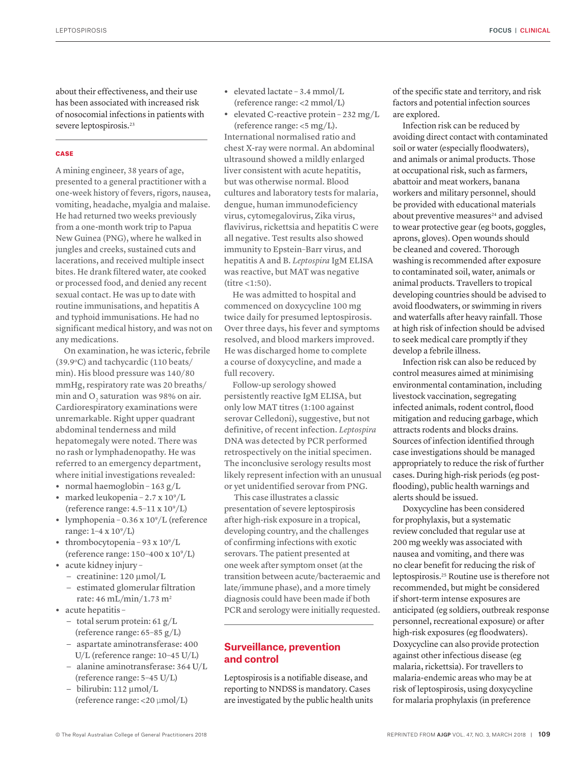FOCUS | CLINICAL

about their effectiveness, and their use has been associated with increased risk of nosocomial infections in patients with severe leptospirosis.<sup>23</sup>

### **CASE**

A mining engineer, 38 years of age, presented to a general practitioner with a one-week history of fevers, rigors, nausea, vomiting, headache, myalgia and malaise. He had returned two weeks previously from a one-month work trip to Papua New Guinea (PNG), where he walked in jungles and creeks, sustained cuts and lacerations, and received multiple insect bites. He drank filtered water, ate cooked or processed food, and denied any recent sexual contact. He was up to date with routine immunisations, and hepatitis A and typhoid immunisations. He had no significant medical history, and was not on any medications.

On examination, he was icteric, febrile (39.9°C) and tachycardic (110 beats/ min). His blood pressure was 140/80 mmHg, respiratory rate was 20 breaths/ min and O<sub>2</sub> saturation was 98% on air. Cardiorespiratory examinations were unremarkable. Right upper quadrant abdominal tenderness and mild hepatomegaly were noted. There was no rash or lymphadenopathy. He was referred to an emergency department, where initial investigations revealed:

- **•** normal haemoglobin 163 g/L
- marked leukopenia 2.7 x 10<sup>9</sup>/L (reference range:  $4.5-11 \times 10^9$ /L)
- lymphopenia 0.36 x 10<sup>9</sup>/L (reference range: 1-4 x 10<sup>9</sup>/L)
- thrombocytopenia 93 x 10<sup>9</sup>/L (reference range: 150-400 x 10<sup>9</sup>/L)
- **•** acute kidney injury
	- creatinine: 120 µmol/L
	- estimated glomerular filtration rate: 46 mL/min/1.73 m2
- **•** acute hepatitis
	- total serum protein: 61 g/L (reference range: 65–85 g/L)
	- aspartate aminotransferase: 400 U/L (reference range: 10–45 U/L)
	- alanine aminotransferase: 364 U/L (reference range: 5–45 U/L)
	- bilirubin: 112 µmol/L (reference range: <20 µmol/L)
- **•** elevated lactate 3.4 mmol/L (reference range: <2 mmol/L)
- **•** elevated C-reactive protein 232 mg/L (reference range: <5 mg/L).

International normalised ratio and chest X-ray were normal. An abdominal ultrasound showed a mildly enlarged liver consistent with acute hepatitis, but was otherwise normal. Blood cultures and laboratory tests for malaria, dengue, human immunodeficiency virus, cytomegalovirus, Zika virus, flavivirus, rickettsia and hepatitis C were all negative. Test results also showed immunity to Epstein–Barr virus, and hepatitis A and B. *Leptospira* IgM ELISA was reactive, but MAT was negative  $(titre < 1:50)$ .

He was admitted to hospital and commenced on doxycycline 100 mg twice daily for presumed leptospirosis. Over three days, his fever and symptoms resolved, and blood markers improved. He was discharged home to complete a course of doxycycline, and made a full recovery.

Follow-up serology showed persistently reactive IgM ELISA, but only low MAT titres (1:100 against serovar Celledoni), suggestive, but not definitive, of recent infection. *Leptospira* DNA was detected by PCR performed retrospectively on the initial specimen. The inconclusive serology results most likely represent infection with an unusual or yet unidentified serovar from PNG.

This case illustrates a classic presentation of severe leptospirosis after high-risk exposure in a tropical, developing country, and the challenges of confirming infections with exotic serovars. The patient presented at one week after symptom onset (at the transition between acute/bacteraemic and late/immune phase), and a more timely diagnosis could have been made if both PCR and serology were initially requested.

## **Surveillance, prevention and control**

Leptospirosis is a notifiable disease, and reporting to NNDSS is mandatory. Cases are investigated by the public health units of the specific state and territory, and risk factors and potential infection sources are explored.

Infection risk can be reduced by avoiding direct contact with contaminated soil or water (especially floodwaters), and animals or animal products. Those at occupational risk, such as farmers, abattoir and meat workers, banana workers and military personnel, should be provided with educational materials about preventive measures<sup>24</sup> and advised to wear protective gear (eg boots, goggles, aprons, gloves). Open wounds should be cleaned and covered. Thorough washing is recommended after exposure to contaminated soil, water, animals or animal products. Travellers to tropical developing countries should be advised to avoid floodwaters, or swimming in rivers and waterfalls after heavy rainfall. Those at high risk of infection should be advised to seek medical care promptly if they develop a febrile illness.

Infection risk can also be reduced by control measures aimed at minimising environmental contamination, including livestock vaccination, segregating infected animals, rodent control, flood mitigation and reducing garbage, which attracts rodents and blocks drains. Sources of infection identified through case investigations should be managed appropriately to reduce the risk of further cases. During high-risk periods (eg postflooding), public health warnings and alerts should be issued.

Doxycycline has been considered for prophylaxis, but a systematic review concluded that regular use at 200 mg weekly was associated with nausea and vomiting, and there was no clear benefit for reducing the risk of leptospirosis.25 Routine use is therefore not recommended, but might be considered if short-term intense exposures are anticipated (eg soldiers, outbreak response personnel, recreational exposure) or after high-risk exposures (eg floodwaters). Doxycycline can also provide protection against other infectious disease (eg malaria, rickettsia). For travellers to malaria-endemic areas who may be at risk of leptospirosis, using doxycycline for malaria prophylaxis (in preference